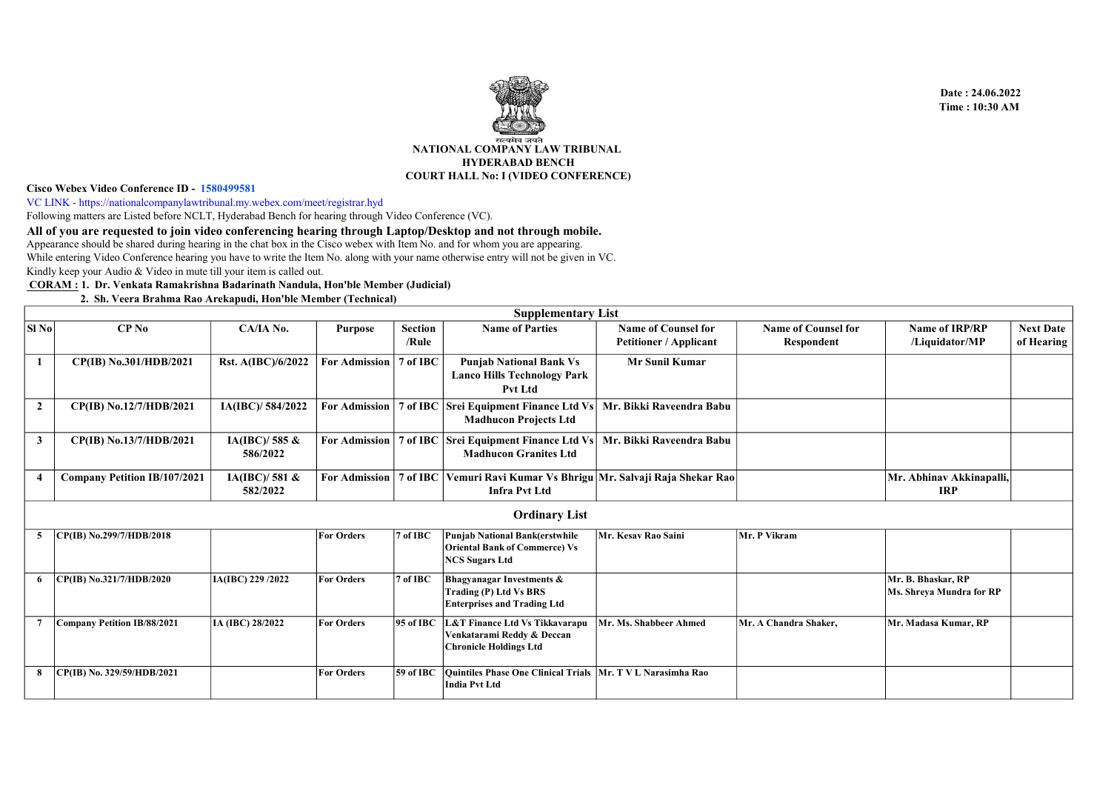

## Cisco Webex Video Conference ID - 1580499581

VC LINK - https://nationalcompanylawtribunal.my.webex.com/meet/registrar.hyd

Following matters are Listed before NCLT, Hyderabad Bench for hearing through Video Conference (VC).

All of you are requested to join video conferencing hearing through Laptop/Desktop and not through mobile.

Kindly keep your Audio & Video in mute till your item is called out. Appearance should be shared during hearing in the chat box in the Cisco webex with Item No. and for whom you are appearing. While entering Video Conference hearing you have to write the Item No. along with your name otherwise entry will not be given in VC.

CORAM : 1. Dr. Venkata Ramakrishna Badarinath Nandula, Hon'ble Member (Judicial)

## 2. Sh. Veera Brahma Rao Arekapudi, Hon'ble Member (Technical)

|                |                                     |                              |                      |                  | <b>Supplementary List</b>                                                                              |                                                             |                                          |                                                |                                |  |  |  |  |
|----------------|-------------------------------------|------------------------------|----------------------|------------------|--------------------------------------------------------------------------------------------------------|-------------------------------------------------------------|------------------------------------------|------------------------------------------------|--------------------------------|--|--|--|--|
| SI No          | $CP$ No                             | CA/IA No.                    | <b>Purpose</b>       | Section<br>/Rule | <b>Name of Parties</b>                                                                                 | <b>Name of Counsel for</b><br><b>Petitioner / Applicant</b> | <b>Name of Counsel for</b><br>Respondent | <b>Name of IRP/RP</b><br>/Liquidator/MP        | <b>Next Date</b><br>of Hearing |  |  |  |  |
|                | CP(IB) No.301/HDB/2021              | Rst. A(IBC)/6/2022           | <b>For Admission</b> | 7 of IBC         | <b>Punjab National Bank Vs</b><br><b>Lanco Hills Technology Park</b><br><b>Pvt Ltd</b>                 | <b>Mr Sunil Kumar</b>                                       |                                          |                                                |                                |  |  |  |  |
| $\overline{2}$ | CP(IB) No.12/7/HDB/2021             | IA(IBC)/584/2022             | <b>For Admission</b> |                  | 7 of IBC Srei Equipment Finance Ltd Vs<br><b>Madhucon Projects Ltd</b>                                 | Mr. Bikki Raveendra Babu                                    |                                          |                                                |                                |  |  |  |  |
| $\mathbf{3}$   | CP(IB) No.13/7/HDB/2021             | IA(IBC)/585 $\&$<br>586/2022 | <b>For Admission</b> |                  | 7 of IBC Srei Equipment Finance Ltd Vs<br><b>Madhucon Granites Ltd</b>                                 | Mr. Bikki Raveendra Babu                                    |                                          |                                                |                                |  |  |  |  |
|                | <b>Company Petition IB/107/2021</b> | IA(IBC)/581 $\&$<br>582/2022 | <b>For Admission</b> |                  | 7 of IBC Vemuri Ravi Kumar Vs Bhrigu Mr. Salvaji Raja Shekar Rao<br><b>Infra Pvt Ltd</b>               |                                                             |                                          | Mr. Abhinav Akkinapalli,<br><b>IRP</b>         |                                |  |  |  |  |
|                | <b>Ordinary List</b>                |                              |                      |                  |                                                                                                        |                                                             |                                          |                                                |                                |  |  |  |  |
| 5              | CP(IB) No.299/7/HDB/2018            |                              | <b>For Orders</b>    | 7 of IBC         | <b>Punjab National Bank(erstwhile</b><br><b>Oriental Bank of Commerce) Vs</b><br><b>NCS Sugars Ltd</b> | Mr. Kesav Rao Saini                                         | Mr. P Vikram                             |                                                |                                |  |  |  |  |
| -6             | CP(IB) No.321/7/HDB/2020            | IA(IBC) 229 /2022            | <b>For Orders</b>    | 7 of IBC         | Bhagyanagar Investments &<br>Trading (P) Ltd Vs BRS<br><b>Enterprises and Trading Ltd</b>              |                                                             |                                          | Mr. B. Bhaskar, RP<br>Ms. Shreya Mundra for RP |                                |  |  |  |  |
|                | Company Petition IB/88/2021         | IA (IBC) 28/2022             | <b>For Orders</b>    | 95 of IBC        | L&T Finance Ltd Vs Tikkavarapu<br>Venkatarami Reddy & Deccan<br><b>Chronicle Holdings Ltd</b>          | Mr. Ms. Shabbeer Ahmed                                      | Mr. A Chandra Shaker,                    | Mr. Madasa Kumar, RP                           |                                |  |  |  |  |
| 8              | CP(IB) No. 329/59/HDB/2021          |                              | <b>For Orders</b>    | $59$ of IBC      | Quintiles Phase One Clinical Trials   Mr. T V L Narasimha Rao<br><b>India Pvt Ltd</b>                  |                                                             |                                          |                                                |                                |  |  |  |  |

 Date : 24.06.2022 Time : 10:30 AM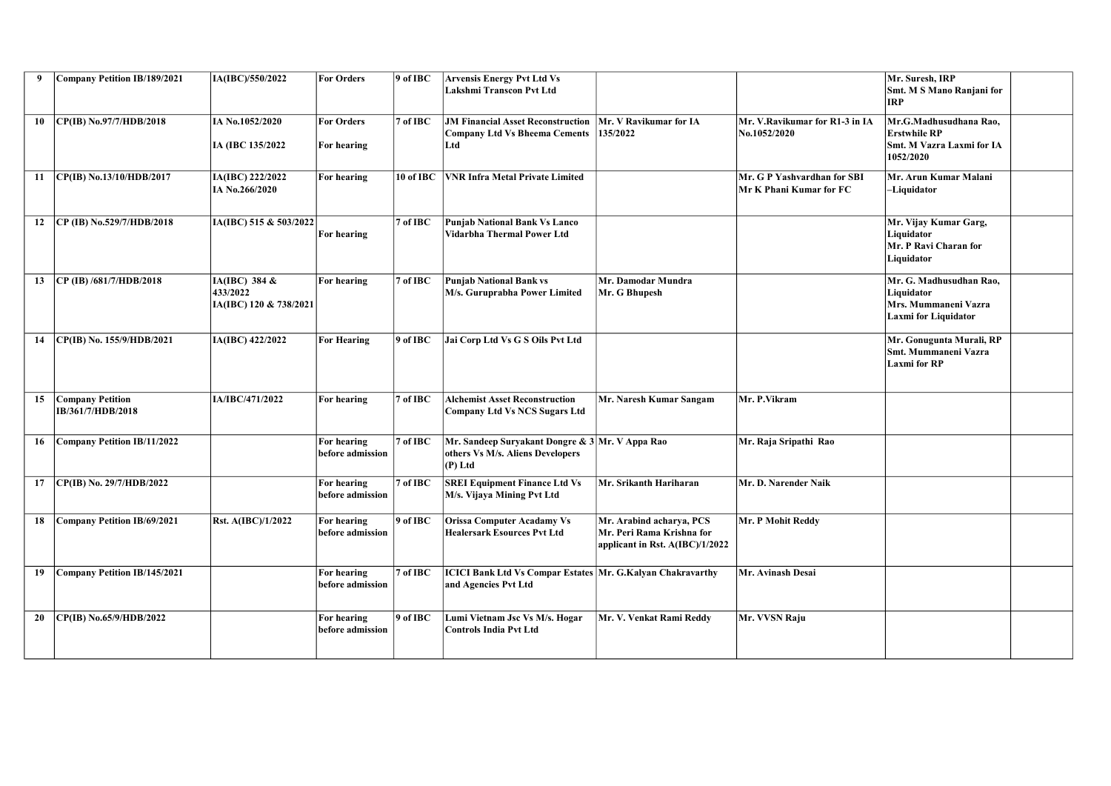| 9  | Company Petition IB/189/2021                 | IA(IBC)/550/2022                                    | <b>For Orders</b>                | $9$ of IBC  | <b>Arvensis Energy Pvt Ltd Vs</b><br>Lakshmi Transcon Pvt Ltd                                    |                                                                                            |                                                        | Mr. Suresh, IRP<br>Smt. M S Mano Ranjani for<br><b>IRP</b>                            |  |
|----|----------------------------------------------|-----------------------------------------------------|----------------------------------|-------------|--------------------------------------------------------------------------------------------------|--------------------------------------------------------------------------------------------|--------------------------------------------------------|---------------------------------------------------------------------------------------|--|
| 10 | CP(IB) No.97/7/HDB/2018                      | IA No.1052/2020<br>IA (IBC 135/2022                 | <b>For Orders</b><br>For hearing | $ 7$ of IBC | <b>JM Financial Asset Reconstruction</b><br>Company Ltd Vs Bheema Cements<br>Ltd                 | Mr. V Ravikumar for IA<br>135/2022                                                         | Mr. V.Ravikumar for R1-3 in IA<br>No.1052/2020         | Mr.G.Madhusudhana Rao.<br>Erstwhile RP<br>Smt. M Vazra Laxmi for IA<br>1052/2020      |  |
| 11 | $ CP(IB)$ No.13/10/HDB/2017                  | IA(IBC) 222/2022<br>IA No.266/2020                  | For hearing                      | 10 of IBC   | <b>VNR Infra Metal Private Limited</b>                                                           |                                                                                            | Mr. G P Yashvardhan for SBI<br>Mr K Phani Kumar for FC | Mr. Arun Kumar Malani<br>-Liquidator                                                  |  |
| 12 | $CP$ (IB) No.529/7/HDB/2018                  | IA(IBC) 515 & 503/2022                              | For hearing                      | $7$ of IBC  | Punjab National Bank Vs Lanco<br>Vidarbha Thermal Power Ltd                                      |                                                                                            |                                                        | Mr. Vijay Kumar Garg,<br>Liquidator<br>Mr. P Ravi Charan for<br>Liquidator            |  |
| 13 | $CP$ (IB) /681/7/HDB/2018                    | IA(IBC) 384 &<br>433/2022<br>IA(IBC) 120 & 738/2021 | For hearing                      | 7 of IBC    | <b>Punjab National Bank vs</b><br>M/s. Guruprabha Power Limited                                  | Mr. Damodar Mundra<br>Mr. G Bhupesh                                                        |                                                        | Mr. G. Madhusudhan Rao,<br>Liquidator<br>Mrs. Mummaneni Vazra<br>Laxmi for Liquidator |  |
| 14 | CP(IB) No. 155/9/HDB/2021                    | IA(IBC) 422/2022                                    | <b>For Hearing</b>               | 9 of IBC    | Jai Corp Ltd Vs G S Oils Pvt Ltd                                                                 |                                                                                            |                                                        | Mr. Gonugunta Murali, RP<br><b>Smt. Mummaneni Vazra</b><br>Laxmi for RP               |  |
| 15 | <b>Company Petition</b><br>IB/361/7/HDB/2018 | IA/IBC/471/2022                                     | For hearing                      | $ 7$ of IBC | <b>Alchemist Asset Reconstruction</b><br>Company Ltd Vs NCS Sugars Ltd                           | Mr. Naresh Kumar Sangam                                                                    | Mr. P.Vikram                                           |                                                                                       |  |
| 16 | Company Petition IB/11/2022                  |                                                     | For hearing<br>before admission  | 7 of IBC    | Mr. Sandeep Survakant Dongre & 3 Mr. V Appa Rao<br>others Vs M/s. Aliens Developers<br>$(P)$ Ltd |                                                                                            | Mr. Raja Sripathi Rao                                  |                                                                                       |  |
| 17 | CP(IB) No. 29/7/HDB/2022                     |                                                     | For hearing<br>before admission  | 7 of IBC    | <b>SREI Equipment Finance Ltd Vs</b><br>M/s. Vijaya Mining Pvt Ltd                               | Mr. Srikanth Hariharan                                                                     | Mr. D. Narender Naik                                   |                                                                                       |  |
| 18 | Company Petition IB/69/2021                  | Rst. A(IBC)/1/2022                                  | For hearing<br>before admission  | $9$ of IBC  | <b>Orissa Computer Acadamy Vs</b><br><b>Healersark Esources Pvt Ltd</b>                          | Mr. Arabind acharva, PCS<br>Mr. Peri Rama Krishna for<br>applicant in Rst. $A(IBC)/1/2022$ | Mr. P Mohit Reddy                                      |                                                                                       |  |
| 19 | Company Petition IB/145/2021                 |                                                     | For hearing<br>before admission  | $7$ of IBC  | <b>ICICI Bank Ltd Vs Compar Estates Mr. G.Kalyan Chakravarthy</b><br>and Agencies Pvt Ltd        |                                                                                            | Mr. Avinash Desai                                      |                                                                                       |  |
| 20 | CP(IB) No.65/9/HDB/2022                      |                                                     | For hearing<br>before admission  | $9$ of IBC  | Lumi Vietnam Jsc Vs M/s. Hogar<br>Controls India Pvt Ltd                                         | Mr. V. Venkat Rami Reddy                                                                   | Mr. VVSN Raju                                          |                                                                                       |  |